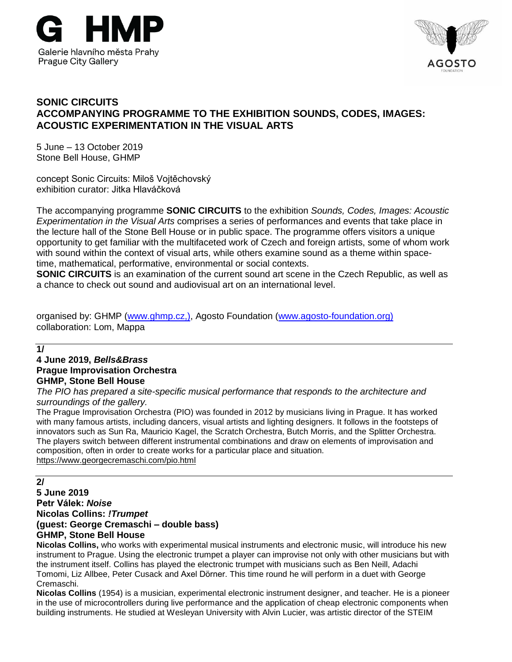



## **SONIC CIRCUITS ACCOMPANYING PROGRAMME TO THE EXHIBITION SOUNDS, CODES, IMAGES: ACOUSTIC EXPERIMENTATION IN THE VISUAL ARTS**

5 June – 13 October 2019 Stone Bell House, GHMP

concept Sonic Circuits: Miloš Vojtěchovský exhibition curator: Jitka Hlaváčková

The accompanying programme **SONIC CIRCUITS** to the exhibition *Sounds, Codes, Images: Acoustic Experimentation in the Visual Arts* comprises a series of performances and events that take place in the lecture hall of the Stone Bell House or in public space. The programme offers visitors a unique opportunity to get familiar with the multifaceted work of Czech and foreign artists, some of whom work with sound within the context of visual arts, while others examine sound as a theme within spacetime, mathematical, performative, environmental or social contexts.

**SONIC CIRCUITS** is an examination of the current sound art scene in the Czech Republic, as well as a chance to check out sound and audiovisual art on an international level.

organised by: GHMP [\(www.ghmp.cz,](http://www.ghmp.cz/)), Agosto Foundation [\(www.agosto-foundation.org\)](http://www.agosto-foundation.org/) collaboration: Lom, Mappa

**1/**

# **4 June 2019,** *[Bells&Brass](https://www.thewire.co.uk/about/artists/lee-patterson?fbclid=IwAR3lPagu4Oq1dDJb3MAj1Bd_2ix4_-EIy8kaSuqh0It1Ekfk9oQUeyxmWjw)* **Prague Improvisation Orchestra GHMP, Stone Bell House**

*The PIO has prepared a site-specific musical performance that responds to the architecture and surroundings of the gallery.*

The Prague Improvisation Orchestra (PIO) was founded in 2012 by musicians living in Prague. It has worked with many famous artists, including dancers, visual artists and lighting designers. It follows in the footsteps of innovators such as Sun Ra, Mauricio Kagel, the Scratch Orchestra, Butch Morris, and the Splitter Orchestra. The players switch between different instrumental combinations and draw on elements of improvisation and composition, often in order to create works for a particular place and situation. <https://www.georgecremaschi.com/pio.html>

**2/**

**5 June 2019 Petr Válek:** *Noise* **Nicolas Collins:** *!Trumpet* **(guest: George Cremaschi – double bass) GHMP, Stone Bell House**

**Nicolas Collins,** who works with experimental musical instruments and electronic music, will introduce his new instrument to Prague. Using the electronic trumpet a player can improvise not only with other musicians but with the instrument itself. Collins has played the electronic trumpet with musicians such as Ben Neill, Adachi Tomomi, Liz Allbee, Peter Cusack and Axel Dörner. This time round he will perform in a duet with George Cremaschi.

**Nicolas Collins** (1954) is a musician, experimental electronic instrument designer, and teacher. He is a pioneer in the use of microcontrollers during live performance and the application of cheap electronic components when building instruments. He studied at Wesleyan University with Alvin Lucier, was artistic director of the STEIM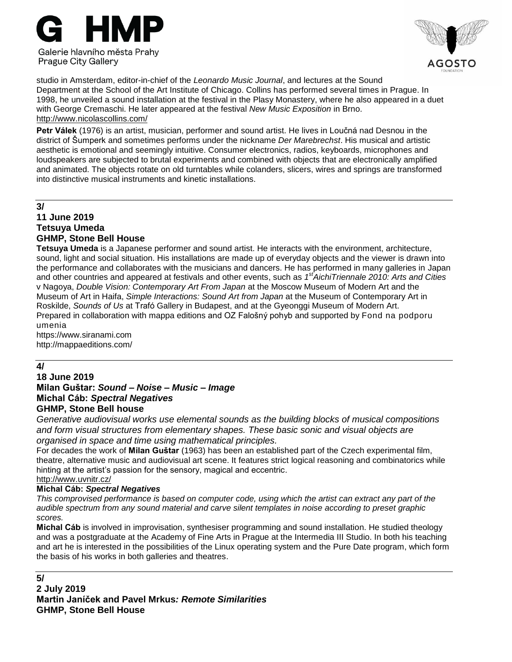



studio in Amsterdam, editor-in-chief of the *Leonardo Music Journal*, and lectures at the Sound Department at the School of the Art Institute of Chicago. Collins has performed several times in Prague. In 1998, he unveiled a sound installation at the festival in the Plasy Monastery, where he also appeared in a duet with George Cremaschi. He later appeared at the festival *New Music Exposition* in Brno. <http://www.nicolascollins.com/>

**Petr Válek** (1976) is an artist, musician, performer and sound artist. He lives in Loučná nad Desnou in the district of Šumperk and sometimes performs under the nickname *Der Marebrechst*. His musical and artistic aesthetic is emotional and seemingly intuitive. Consumer electronics, radios, keyboards, microphones and loudspeakers are subjected to brutal experiments and combined with objects that are electronically amplified and animated. The objects rotate on old turntables while colanders, slicers, wires and springs are transformed into distinctive musical instruments and kinetic installations.

# **3/**

# **11 June 2019 Tetsuya Umeda GHMP, Stone Bell House**

**Tetsuya Umeda** is a Japanese performer and sound artist. He interacts with the environment, architecture, sound, light and social situation. His installations are made up of everyday objects and the viewer is drawn into the performance and collaborates with the musicians and dancers. He has performed in many galleries in Japan and other countries and appeared at festivals and other events, such as *1 stAichiTriennale 2010: Arts and Cities* v Nagoya, *Double Vision: Contemporary Art From Japan* at the Moscow Museum of Modern Art and the Museum of Art in Haifa, *Simple Interactions: Sound Art from Japan* at the Museum of Contemporary Art in Roskilde, *Sounds of Us* at Trafó Gallery in Budapest, and at the Gyeonggi Museum of Modern Art. Prepared in collaboration with mappa editions and OZ Falošný pohyb and supported by Fond na podporu umenia

https://www.siranami.com <http://mappaeditions.com/>

## **4/**

#### **18 June 2019 Milan Guštar:** *Sound – Noise – Music – Image* **Michal Cáb:** *Spectral Negatives* **GHMP, Stone Bell house**

*Generative audiovisual works use elemental sounds as the building blocks of musical compositions and form visual structures from elementary shapes. These basic sonic and visual objects are organised in space and time using mathematical principles.*

For decades the work of **Milan Guštar** (1963) has been an established part of the Czech experimental film, theatre, alternative music and audiovisual art scene. It features strict logical reasoning and combinatorics while hinting at the artist's passion for the sensory, magical and eccentric. <http://www.uvnitr.cz/>

## **Michal Cáb:** *Spectral Negatives*

*This comprovised performance is based on computer code, using which the artist can extract any part of the audible spectrum from any sound material and carve silent templates in noise according to preset graphic scores.*

**Michal Cáb** is involved in improvisation, synthesiser programming and sound installation. He studied theology and was a postgraduate at the Academy of Fine Arts in Prague at the Intermedia III Studio. In both his teaching and art he is interested in the possibilities of the Linux operating system and the Pure Date program, which form the basis of his works in both galleries and theatres.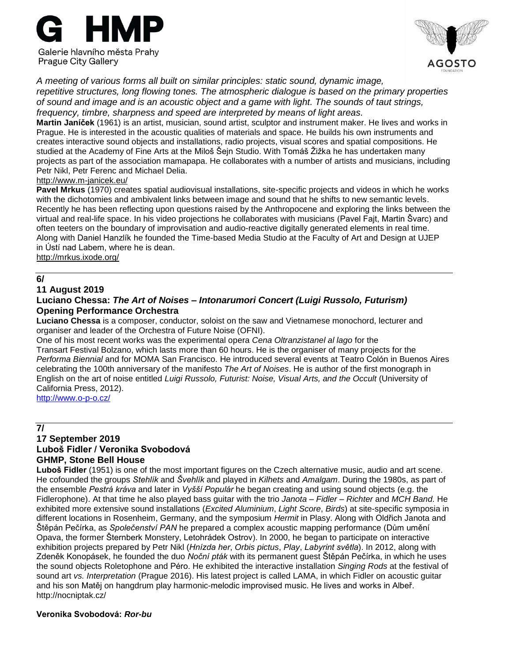



*A meeting of various forms all built on similar principles: static sound, dynamic image, repetitive structures, long flowing tones. The atmospheric dialogue is based on the primary properties of sound and image and is an acoustic object and a game with light. The sounds of taut strings, frequency, timbre, sharpness and speed are interpreted by means of light areas.*

**Martin Janíček** (1961) is an artist, musician, sound artist, sculptor and instrument maker. He lives and works in Prague. He is interested in the acoustic qualities of materials and space. He builds his own instruments and creates interactive sound objects and installations, radio projects, visual scores and spatial compositions. He studied at the Academy of Fine Arts at the Miloš Šejn Studio. With Tomáš Žižka he has undertaken many projects as part of the association mamapapa. He collaborates with a number of artists and musicians, including Petr Nikl, Petr Ferenc and Michael Delia.

#### <http://www.m-janicek.eu/>

**Pavel Mrkus** (1970) creates spatial audiovisual installations, site-specific projects and videos in which he works with the dichotomies and ambivalent links between image and sound that he shifts to new semantic levels. Recently he has been reflecting upon questions raised by the Anthropocene and exploring the links between the virtual and real-life space. In his video projections he collaborates with musicians (Pavel Fajt, Martin Švarc) and often teeters on the boundary of improvisation and audio-reactive digitally generated elements in real time. Along with Daniel Hanzlík he founded the Time-based Media Studio at the Faculty of Art and Design at UJEP in Ústí nad Labem, where he is dean.

<http://mrkus.ixode.org/>

## **6/**

#### **11 August 2019**

## **Luciano Chessa:** *The Art of Noises – Intonarumori Concert (Luigi Russolo, Futurism)* **Opening Performance Orchestra**

**Luciano Chessa** is a composer, conductor, soloist on the saw and Vietnamese monochord, lecturer and organiser and leader of the Orchestra of Future Noise (OFNI).

One of his most recent works was the experimental opera *Cena Oltranzistanel al lago* for the Transart Festival Bolzano, which lasts more than 60 hours. He is the organiser of many projects for the *Performa Biennial* and for MOMA San Francisco. He introduced several events at Teatro Colón in Buenos Aires celebrating the 100th anniversary of the manifesto *The Art of Noises*. He is author of the first monograph in English on the art of noise entitled *Luigi Russolo, Futurist: Noise, Visual Arts, and the Occult* (University of California Press, 2012).

<http://www.o-p-o.cz/>

#### **7/ 17 September 2019 Luboš Fidler / Veronika Svobodová GHMP, Stone Bell House**

**Luboš Fidler** (1951) is one of the most important figures on the Czech alternative music, audio and art scene. He cofounded the groups *Stehlík* and *Švehlík* and played in *Kilhets* and *Amalgam*. During the 1980s, as part of the ensemble *Pestrá kráva* and later in *Vyšší Populár* he began creating and using sound objects (e.g. the Fidlerophone). At that time he also played bass guitar with the trio *Janota – Fidler – Richter* and *MCH Band*. He exhibited more extensive sound installations (*Excited Aluminium*, *Light Score*, *Birds*) at site-specific symposia in different locations in Rosenheim, Germany, and the symposium *Hermit* in Plasy. Along with Oldřich Janota and Štěpán Pečírka, as *Společenství PAN* he prepared a complex acoustic mapping performance (Dům umění Opava, the former Šternberk Monstery, Letohrádek Ostrov). In 2000, he began to participate on interactive exhibition projects prepared by Petr Nikl (*Hnízda her*, *Orbis pictus*, *Play*, *Labyrint světla*). In 2012, along with Zdeněk Konopásek, he founded the duo *Noční pták* with its permanent guest Štěpán Pečírka, in which he uses the sound objects Roletophone and Péro. He exhibited the interactive installation *Singing Rods* at the festival of sound art *vs. Interpretation* (Prague 2016). His latest project is called LAMA, in which Fidler on acoustic guitar and his son Matěj on hangdrum play harmonic-melodic improvised music. He lives and works in Albeř. http://nocniptak.cz/

#### **Veronika Svobodová:** *Ror-bu*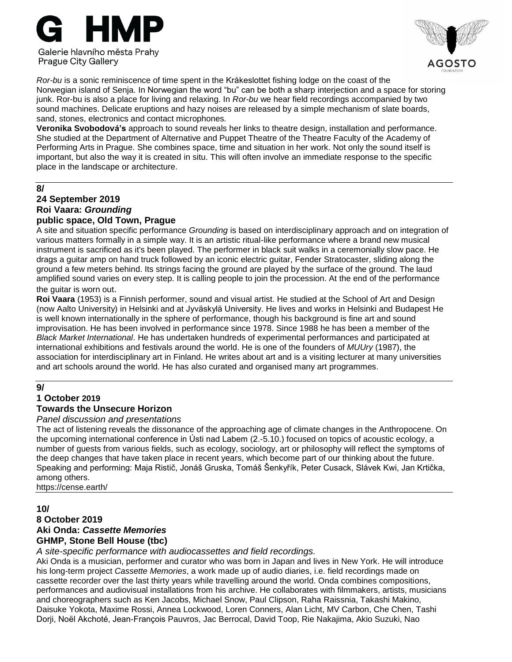



*Ror-bu* is a sonic reminiscence of time spent in the Kråkeslottet fishing lodge on the coast of the Norwegian island of Senja. In Norwegian the word "bu" can be both a sharp interjection and a space for storing junk. Ror-bu is also a place for living and relaxing. In *Ror-bu* we hear field recordings accompanied by two sound machines. Delicate eruptions and hazy noises are released by a simple mechanism of slate boards, sand, stones, electronics and contact microphones*.*

**Veronika Svobodová's** approach to sound reveals her links to theatre design, installation and performance. She studied at the Department of Alternative and Puppet Theatre of the Theatre Faculty of the Academy of Performing Arts in Prague. She combines space, time and situation in her work. Not only the sound itself is important, but also the way it is created in situ. This will often involve an immediate response to the specific place in the landscape or architecture.

#### **8/**

#### **24 September 2019 Roi Vaara:** *Grounding* **public space, Old Town, Prague**

A site and situation specific performance *Grounding* is based on interdisciplinary approach and on integration of various matters formally in a simple way. It is an artistic ritual-like performance where a brand new musical instrument is sacrificed as it's been played. The performer in black suit walks in a ceremonially slow pace. He drags a guitar amp on hand truck followed by an iconic electric guitar, Fender Stratocaster, sliding along the ground a few meters behind. Its strings facing the ground are played by the surface of the ground. The laud amplified sound varies on every step. It is calling people to join the procession. At the end of the performance the guitar is worn out.

**Roi Vaara** (1953) is a Finnish performer, sound and visual artist. He studied at the School of Art and Design (now Aalto University) in Helsinki and at Jyväskylä University. He lives and works in Helsinki and Budapest He is well known internationally in the sphere of performance, though his background is fine art and sound improvisation. He has been involved in performance since 1978. Since 1988 he has been a member of the *Black Market International*. He has undertaken hundreds of experimental performances and participated at international exhibitions and festivals around the world. He is one of the founders of *MUUry* (1987), the association for interdisciplinary art in Finland. He writes about art and is a visiting lecturer at many universities and art schools around the world. He has also curated and organised many art programmes.

# **9/**

#### **1 October 2019 Towards the Unsecure Horizon**

# *Panel discussion and presentations*

The act of listening reveals the dissonance of the approaching age of climate changes in the Anthropocene. On the upcoming international conference in Ústi nad Labem (2.-5.10.) focused on topics of acoustic ecology, a number of guests from various fields, such as ecology, sociology, art or philosophy will reflect the symptoms of the deep changes that have taken place in recent years, which become part of our thinking about the future. Speaking and performing: Maja Ristič, Jonáš Gruska, Tomáš Šenkyřík, Peter Cusack, Slávek Kwi, Jan Krtička, among others.

<https://cense.earth/>

#### **10/ 8 October 2019 Aki Onda:** *Cassette Memories* **GHMP, Stone Bell House (tbc)**

*A site-specific performance with audiocassettes and field recordings.*

Aki Onda is a musician, performer and curator who was born in Japan and lives in New York. He will introduce his long-term project *Cassette Memories*, a work made up of audio diaries, i.e. field recordings made on cassette recorder over the last thirty years while travelling around the world. Onda combines compositions, performances and audiovisual installations from his archive. He collaborates with filmmakers, artists, musicians and choreographers such as Ken Jacobs, Michael Snow, Paul Clipson, Raha Raissnia, Takashi Makino, Daisuke Yokota, Maxime Rossi, Annea Lockwood, Loren Conners, Alan Licht, MV Carbon, Che Chen, Tashi Dorji, Noël Akchoté, Jean-François Pauvros, Jac Berrocal, David Toop, Rie Nakajima, Akio Suzuki, Nao